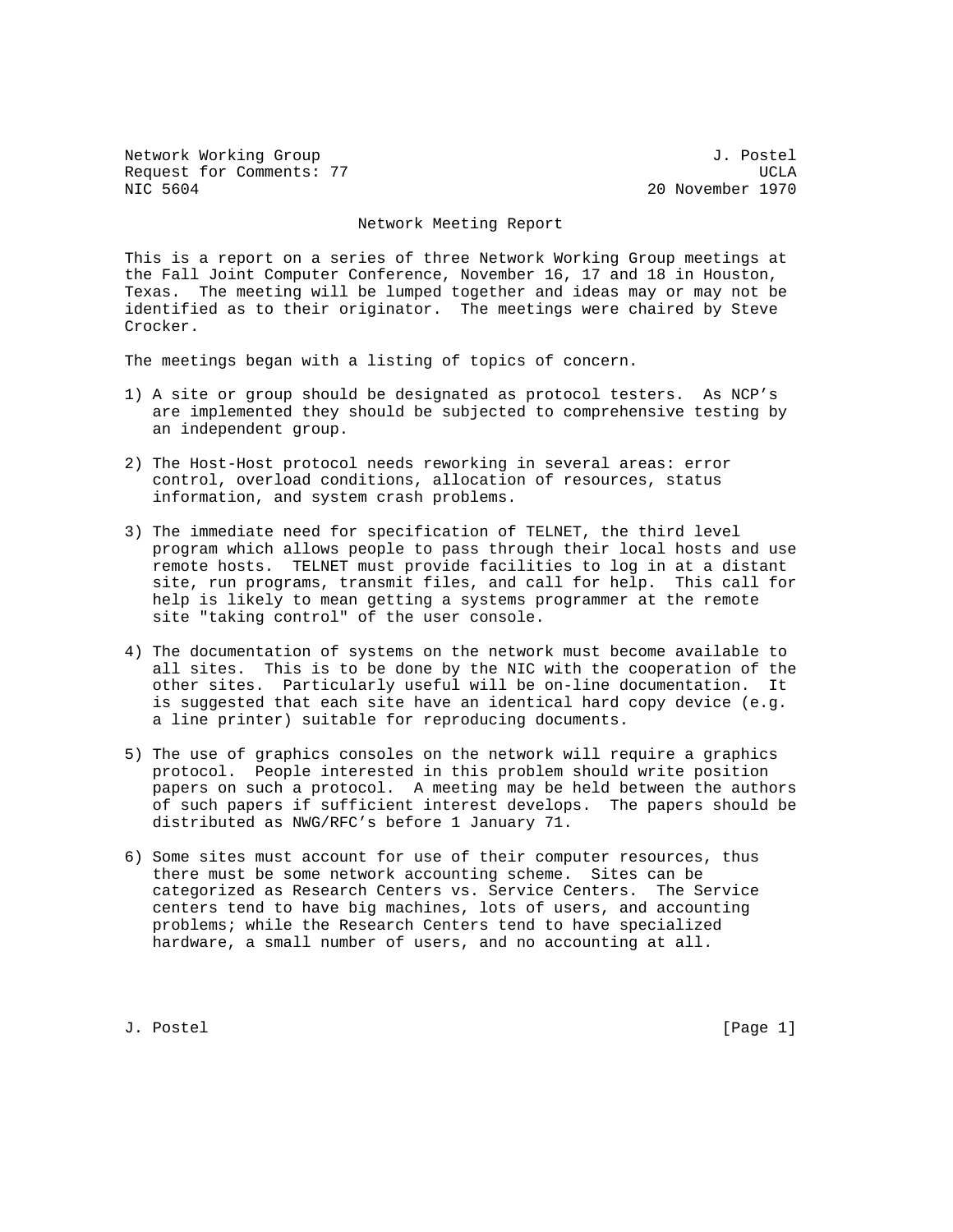Network Working Group 3. 2008 3. Postel Request for Comments: 77 Sequest for Comments: 77 NIC 5604 20 November 1970

## Network Meeting Report

This is a report on a series of three Network Working Group meetings at the Fall Joint Computer Conference, November 16, 17 and 18 in Houston, Texas. The meeting will be lumped together and ideas may or may not be identified as to their originator. The meetings were chaired by Steve Crocker.

The meetings began with a listing of topics of concern.

- 1) A site or group should be designated as protocol testers. As NCP's are implemented they should be subjected to comprehensive testing by an independent group.
- 2) The Host-Host protocol needs reworking in several areas: error control, overload conditions, allocation of resources, status information, and system crash problems.
- 3) The immediate need for specification of TELNET, the third level program which allows people to pass through their local hosts and use remote hosts. TELNET must provide facilities to log in at a distant site, run programs, transmit files, and call for help. This call for help is likely to mean getting a systems programmer at the remote site "taking control" of the user console.
- 4) The documentation of systems on the network must become available to all sites. This is to be done by the NIC with the cooperation of the other sites. Particularly useful will be on-line documentation. It is suggested that each site have an identical hard copy device (e.g. a line printer) suitable for reproducing documents.
- 5) The use of graphics consoles on the network will require a graphics protocol. People interested in this problem should write position papers on such a protocol. A meeting may be held between the authors of such papers if sufficient interest develops. The papers should be distributed as NWG/RFC's before 1 January 71.
- 6) Some sites must account for use of their computer resources, thus there must be some network accounting scheme. Sites can be categorized as Research Centers vs. Service Centers. The Service centers tend to have big machines, lots of users, and accounting problems; while the Research Centers tend to have specialized hardware, a small number of users, and no accounting at all.

J. Postel [Page 1]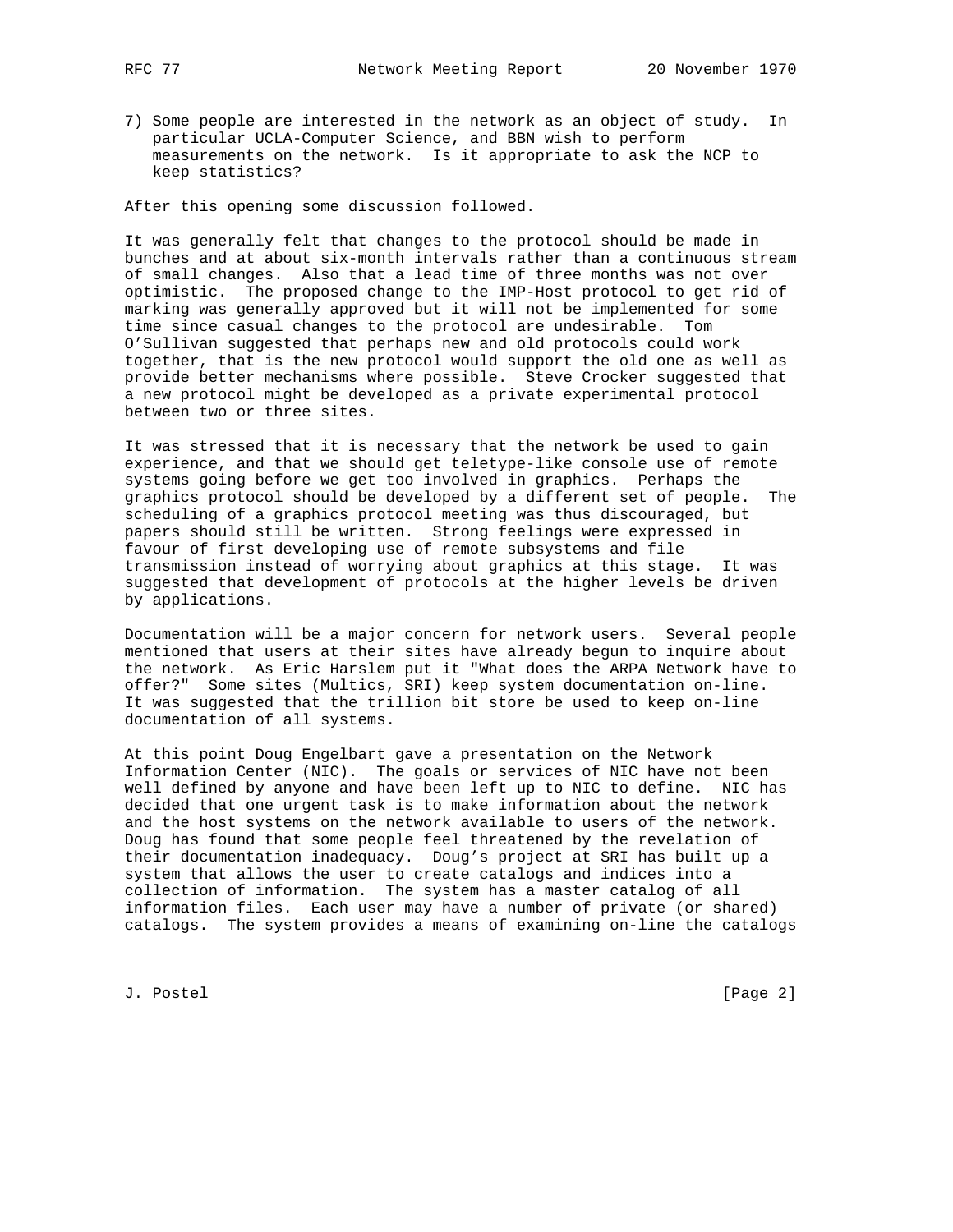7) Some people are interested in the network as an object of study. In particular UCLA-Computer Science, and BBN wish to perform measurements on the network. Is it appropriate to ask the NCP to keep statistics?

After this opening some discussion followed.

It was generally felt that changes to the protocol should be made in bunches and at about six-month intervals rather than a continuous stream of small changes. Also that a lead time of three months was not over optimistic. The proposed change to the IMP-Host protocol to get rid of marking was generally approved but it will not be implemented for some time since casual changes to the protocol are undesirable. Tom O'Sullivan suggested that perhaps new and old protocols could work together, that is the new protocol would support the old one as well as provide better mechanisms where possible. Steve Crocker suggested that a new protocol might be developed as a private experimental protocol between two or three sites.

It was stressed that it is necessary that the network be used to gain experience, and that we should get teletype-like console use of remote systems going before we get too involved in graphics. Perhaps the graphics protocol should be developed by a different set of people. The scheduling of a graphics protocol meeting was thus discouraged, but papers should still be written. Strong feelings were expressed in favour of first developing use of remote subsystems and file transmission instead of worrying about graphics at this stage. It was suggested that development of protocols at the higher levels be driven by applications.

Documentation will be a major concern for network users. Several people mentioned that users at their sites have already begun to inquire about the network. As Eric Harslem put it "What does the ARPA Network have to offer?" Some sites (Multics, SRI) keep system documentation on-line. It was suggested that the trillion bit store be used to keep on-line documentation of all systems.

At this point Doug Engelbart gave a presentation on the Network Information Center (NIC). The goals or services of NIC have not been well defined by anyone and have been left up to NIC to define. NIC has decided that one urgent task is to make information about the network and the host systems on the network available to users of the network. Doug has found that some people feel threatened by the revelation of their documentation inadequacy. Doug's project at SRI has built up a system that allows the user to create catalogs and indices into a collection of information. The system has a master catalog of all information files. Each user may have a number of private (or shared) catalogs. The system provides a means of examining on-line the catalogs

J. Postel [Page 2]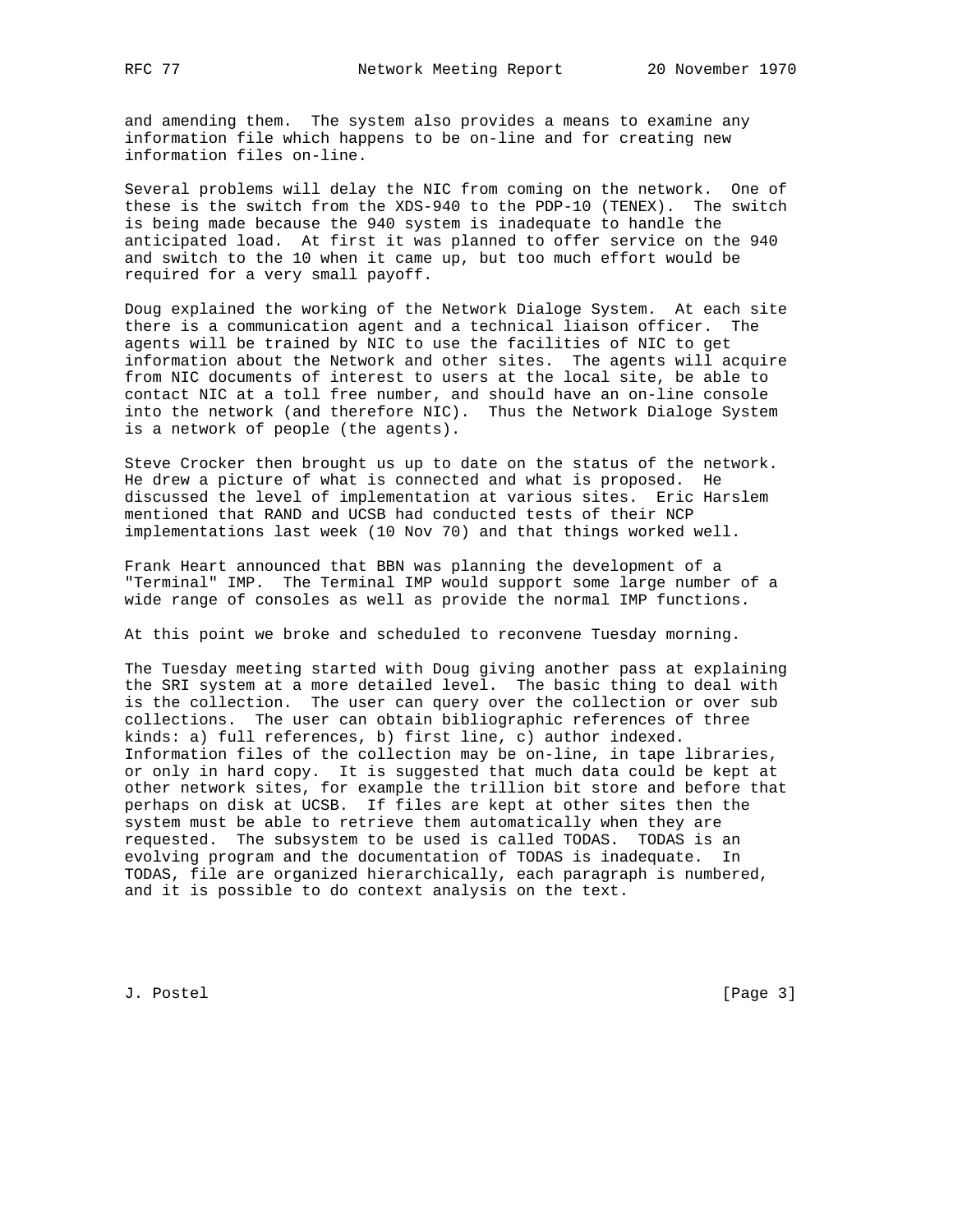and amending them. The system also provides a means to examine any information file which happens to be on-line and for creating new information files on-line.

Several problems will delay the NIC from coming on the network. One of these is the switch from the XDS-940 to the PDP-10 (TENEX). The switch is being made because the 940 system is inadequate to handle the anticipated load. At first it was planned to offer service on the 940 and switch to the 10 when it came up, but too much effort would be required for a very small payoff.

Doug explained the working of the Network Dialoge System. At each site there is a communication agent and a technical liaison officer. The agents will be trained by NIC to use the facilities of NIC to get information about the Network and other sites. The agents will acquire from NIC documents of interest to users at the local site, be able to contact NIC at a toll free number, and should have an on-line console into the network (and therefore NIC). Thus the Network Dialoge System is a network of people (the agents).

Steve Crocker then brought us up to date on the status of the network. He drew a picture of what is connected and what is proposed. He discussed the level of implementation at various sites. Eric Harslem mentioned that RAND and UCSB had conducted tests of their NCP implementations last week (10 Nov 70) and that things worked well.

Frank Heart announced that BBN was planning the development of a "Terminal" IMP. The Terminal IMP would support some large number of a wide range of consoles as well as provide the normal IMP functions.

At this point we broke and scheduled to reconvene Tuesday morning.

The Tuesday meeting started with Doug giving another pass at explaining the SRI system at a more detailed level. The basic thing to deal with is the collection. The user can query over the collection or over sub collections. The user can obtain bibliographic references of three kinds: a) full references, b) first line, c) author indexed. Information files of the collection may be on-line, in tape libraries, or only in hard copy. It is suggested that much data could be kept at other network sites, for example the trillion bit store and before that perhaps on disk at UCSB. If files are kept at other sites then the system must be able to retrieve them automatically when they are requested. The subsystem to be used is called TODAS. TODAS is an evolving program and the documentation of TODAS is inadequate. In TODAS, file are organized hierarchically, each paragraph is numbered, and it is possible to do context analysis on the text.

J. Postel [Page 3]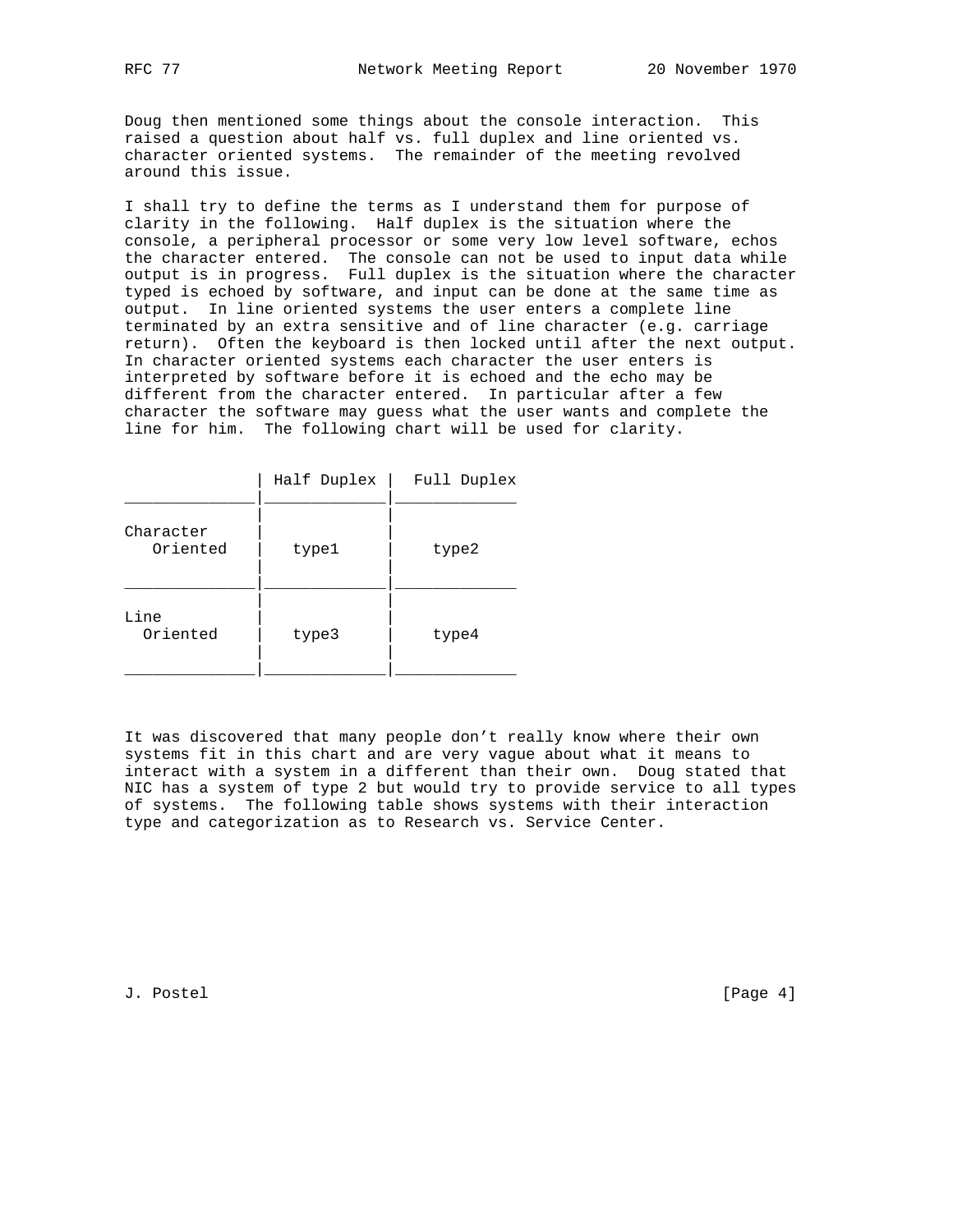Doug then mentioned some things about the console interaction. This raised a question about half vs. full duplex and line oriented vs. character oriented systems. The remainder of the meeting revolved around this issue.

I shall try to define the terms as I understand them for purpose of clarity in the following. Half duplex is the situation where the console, a peripheral processor or some very low level software, echos the character entered. The console can not be used to input data while output is in progress. Full duplex is the situation where the character typed is echoed by software, and input can be done at the same time as output. In line oriented systems the user enters a complete line terminated by an extra sensitive and of line character (e.g. carriage return). Often the keyboard is then locked until after the next output. In character oriented systems each character the user enters is interpreted by software before it is echoed and the echo may be different from the character entered. In particular after a few character the software may guess what the user wants and complete the line for him. The following chart will be used for clarity.

|                       | Half Duplex | Full Duplex |
|-----------------------|-------------|-------------|
| Character<br>Oriented | type1       | type2       |
| Line<br>Oriented      | type3       | type4       |

It was discovered that many people don't really know where their own systems fit in this chart and are very vague about what it means to interact with a system in a different than their own. Doug stated that NIC has a system of type 2 but would try to provide service to all types of systems. The following table shows systems with their interaction type and categorization as to Research vs. Service Center.

J. Postel [Page 4]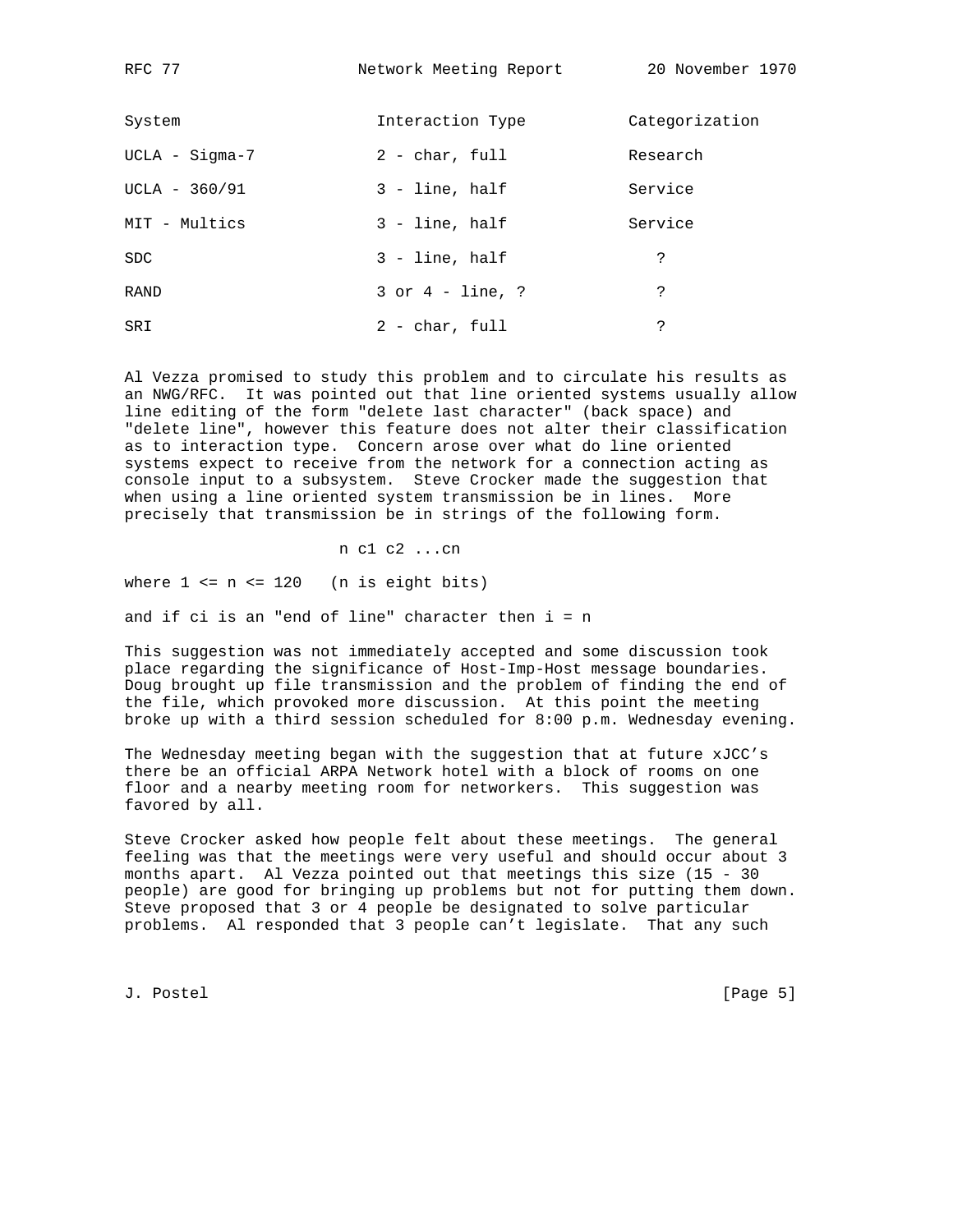RFC 77 Network Meeting Report 20 November 1970

| System           | Interaction Type     | Categorization |
|------------------|----------------------|----------------|
| $UCLA - Sigma-7$ | $2 - char$ , full    | Research       |
| $UCLA - 360/91$  | 3 - line, half       | Service        |
| MIT - Multics    | $3 - line$ , half    | Service        |
| SDC              | $3 - line$ , half    | ?              |
| RAND             | $3$ or $4$ - line, ? | ?              |
| SRI              | $2$ - char, full     | S.             |

Al Vezza promised to study this problem and to circulate his results as an NWG/RFC. It was pointed out that line oriented systems usually allow line editing of the form "delete last character" (back space) and "delete line", however this feature does not alter their classification as to interaction type. Concern arose over what do line oriented systems expect to receive from the network for a connection acting as console input to a subsystem. Steve Crocker made the suggestion that when using a line oriented system transmission be in lines. More precisely that transmission be in strings of the following form.

n c1 c2 ...cn

where  $1 \le n \le 120$  (n is eight bits)

and if ci is an "end of line" character then  $i = n$ 

This suggestion was not immediately accepted and some discussion took place regarding the significance of Host-Imp-Host message boundaries. Doug brought up file transmission and the problem of finding the end of the file, which provoked more discussion. At this point the meeting broke up with a third session scheduled for 8:00 p.m. Wednesday evening.

The Wednesday meeting began with the suggestion that at future xJCC's there be an official ARPA Network hotel with a block of rooms on one floor and a nearby meeting room for networkers. This suggestion was favored by all.

Steve Crocker asked how people felt about these meetings. The general feeling was that the meetings were very useful and should occur about 3 months apart. Al Vezza pointed out that meetings this size (15 - 30 people) are good for bringing up problems but not for putting them down. Steve proposed that 3 or 4 people be designated to solve particular problems. Al responded that 3 people can't legislate. That any such

J. Postel [Page 5]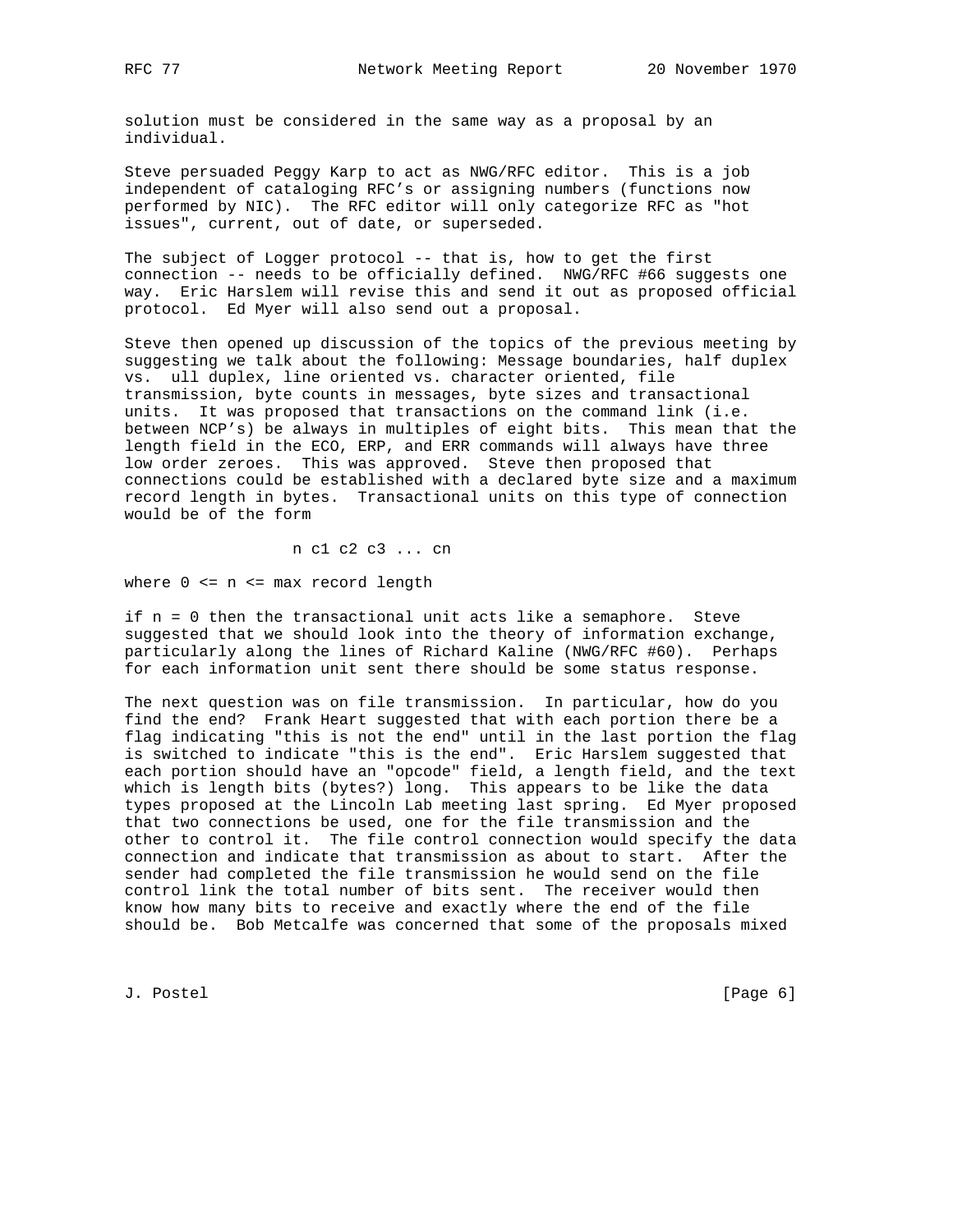solution must be considered in the same way as a proposal by an individual.

Steve persuaded Peggy Karp to act as NWG/RFC editor. This is a job independent of cataloging RFC's or assigning numbers (functions now performed by NIC). The RFC editor will only categorize RFC as "hot issues", current, out of date, or superseded.

The subject of Logger protocol -- that is, how to get the first connection -- needs to be officially defined. NWG/RFC #66 suggests one way. Eric Harslem will revise this and send it out as proposed official protocol. Ed Myer will also send out a proposal.

Steve then opened up discussion of the topics of the previous meeting by suggesting we talk about the following: Message boundaries, half duplex vs. ull duplex, line oriented vs. character oriented, file transmission, byte counts in messages, byte sizes and transactional units. It was proposed that transactions on the command link (i.e. between NCP's) be always in multiples of eight bits. This mean that the length field in the ECO, ERP, and ERR commands will always have three low order zeroes. This was approved. Steve then proposed that connections could be established with a declared byte size and a maximum record length in bytes. Transactional units on this type of connection would be of the form

n c1 c2 c3 ... cn

where 0 <= n <= max record length

if n = 0 then the transactional unit acts like a semaphore. Steve suggested that we should look into the theory of information exchange, particularly along the lines of Richard Kaline (NWG/RFC #60). Perhaps for each information unit sent there should be some status response.

The next question was on file transmission. In particular, how do you find the end? Frank Heart suggested that with each portion there be a flag indicating "this is not the end" until in the last portion the flag is switched to indicate "this is the end". Eric Harslem suggested that each portion should have an "opcode" field, a length field, and the text which is length bits (bytes?) long. This appears to be like the data types proposed at the Lincoln Lab meeting last spring. Ed Myer proposed that two connections be used, one for the file transmission and the other to control it. The file control connection would specify the data connection and indicate that transmission as about to start. After the sender had completed the file transmission he would send on the file control link the total number of bits sent. The receiver would then know how many bits to receive and exactly where the end of the file should be. Bob Metcalfe was concerned that some of the proposals mixed

J. Postel [Page 6]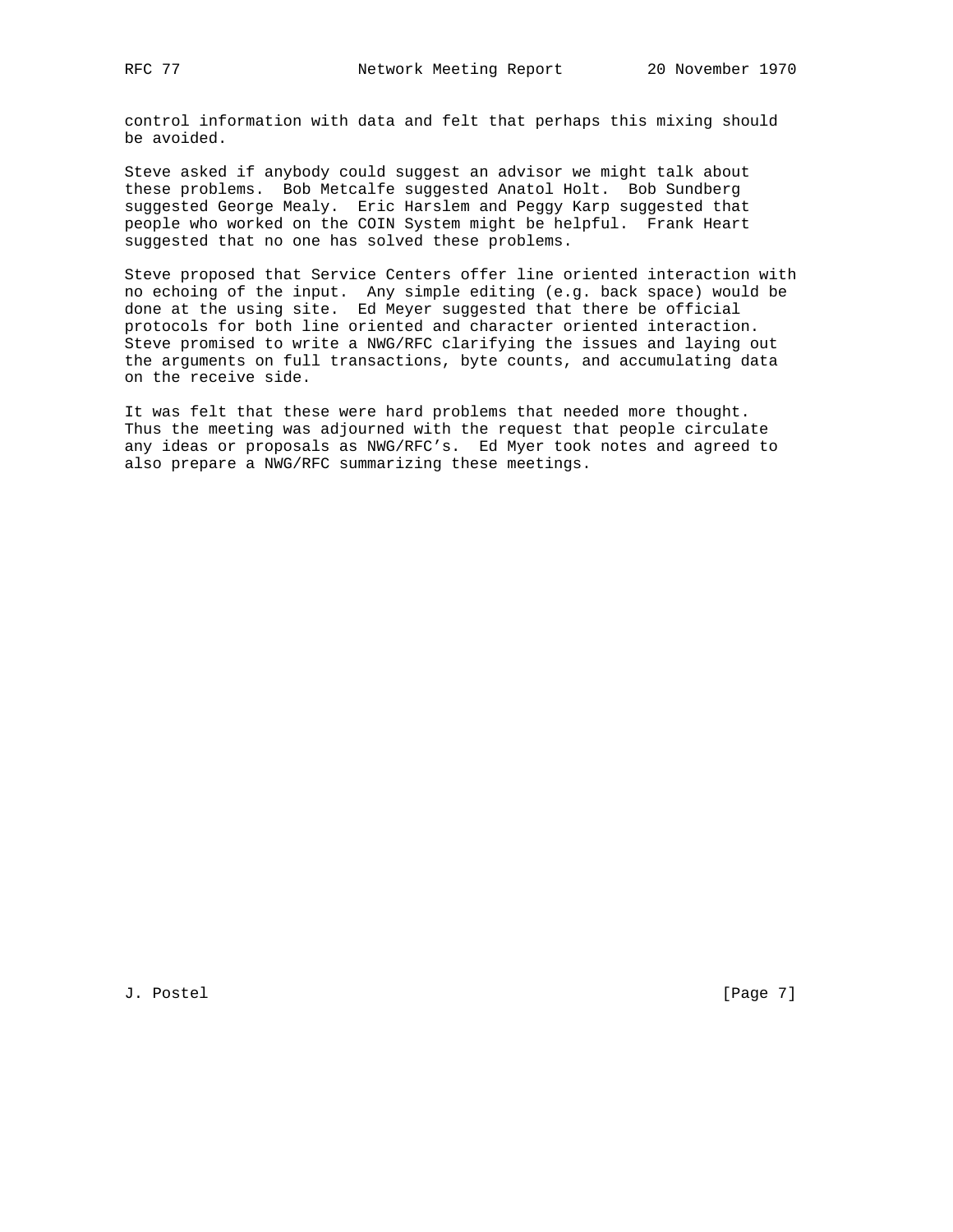control information with data and felt that perhaps this mixing should be avoided.

Steve asked if anybody could suggest an advisor we might talk about these problems. Bob Metcalfe suggested Anatol Holt. Bob Sundberg suggested George Mealy. Eric Harslem and Peggy Karp suggested that people who worked on the COIN System might be helpful. Frank Heart suggested that no one has solved these problems.

Steve proposed that Service Centers offer line oriented interaction with no echoing of the input. Any simple editing (e.g. back space) would be done at the using site. Ed Meyer suggested that there be official protocols for both line oriented and character oriented interaction. Steve promised to write a NWG/RFC clarifying the issues and laying out the arguments on full transactions, byte counts, and accumulating data on the receive side.

It was felt that these were hard problems that needed more thought. Thus the meeting was adjourned with the request that people circulate any ideas or proposals as NWG/RFC's. Ed Myer took notes and agreed to also prepare a NWG/RFC summarizing these meetings.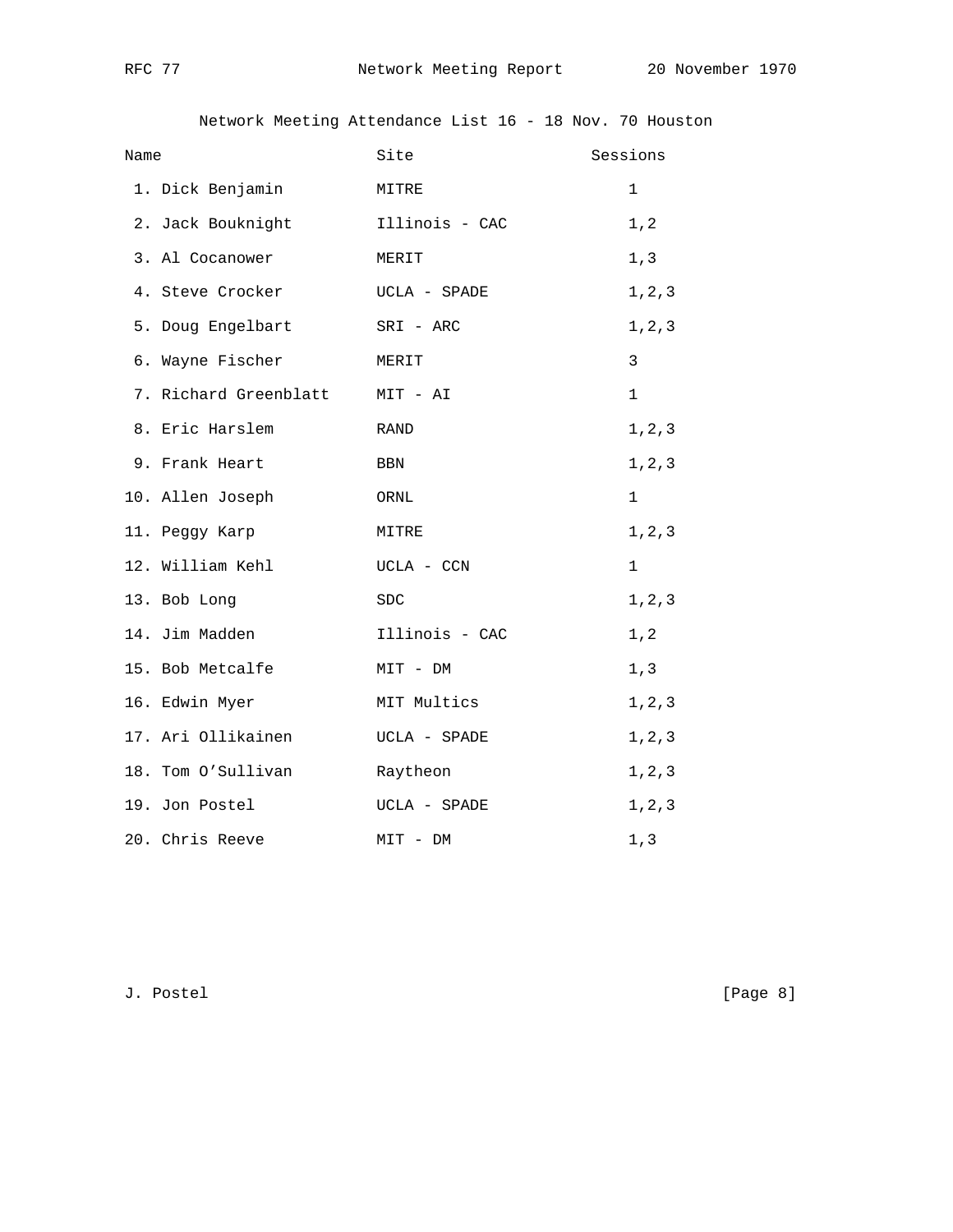Network Meeting Attendance List 16 - 18 Nov. 70 Houston

| Name |                                | Site<br>Sessions |              |
|------|--------------------------------|------------------|--------------|
|      | 1. Dick Benjamin               | MITRE            | $\mathbf 1$  |
|      | 2. Jack Bouknight              | Illinois - CAC   | 1, 2         |
|      | 3. Al Cocanower                | MERIT            | 1, 3         |
|      | 4. Steve Crocker               | UCLA - SPADE     | $1\,,2\,,3$  |
|      | 5. Doug Engelbart              | SRI - ARC        | 1, 2, 3      |
|      | 6. Wayne Fischer               | MERIT            | 3            |
|      | 7. Richard Greenblatt MIT - AI |                  | $\mathbf{1}$ |
|      | 8. Eric Harslem                | RAND             | 1, 2, 3      |
|      | 9. Frank Heart                 | BBN              | 1, 2, 3      |
|      | 10. Allen Joseph               | ORNL             | $\mathbf 1$  |
|      | 11. Peggy Karp                 | MITRE            | 1, 2, 3      |
|      | 12. William Kehl               | UCLA - CCN       | $\mathbf 1$  |
|      | 13. Bob Long                   | SDC              | 1, 2, 3      |
|      | 14. Jim Madden                 | Illinois - CAC   | 1, 2         |
|      | 15. Bob Metcalfe               | MIT - DM         | 1, 3         |
|      | 16. Edwin Myer                 | MIT Multics      | 1, 2, 3      |
|      | 17. Ari Ollikainen             | UCLA - SPADE     | 1, 2, 3      |
|      | 18. Tom O'Sullivan             | Raytheon         | 1, 2, 3      |
|      | 19. Jon Postel                 | UCLA - SPADE     | 1, 2, 3      |
|      | 20. Chris Reeve                | MIT - DM         | 1, 3         |

J. Postel [Page 8]